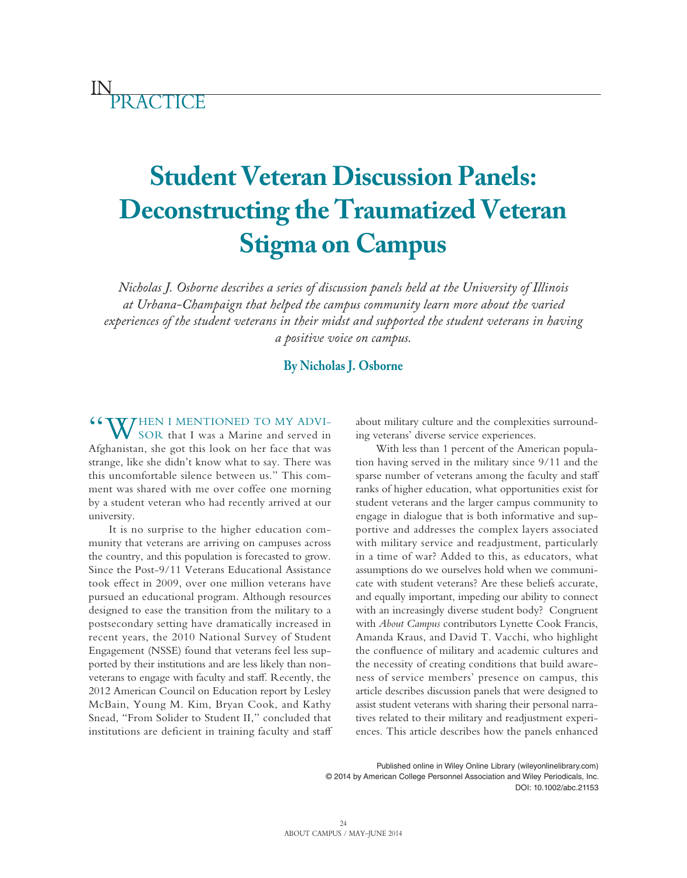# **Student Veteran Discussion Panels: Deconstructing the Traumatized Veteran Stigma on Campus**

*Nicholas J. Osborne describes a series of discussion panels held at the University of Illinois at Urbana-Champaign that helped the campus community learn more about the varied experiences of the student veterans in their midst and supported the student veterans in having a positive voice on campus.* 

#### **By Nicholas J. Osborne**

"WHEN I MENTIONED TO MY ADVI-SOR that I was a Marine and served in

Afghanistan, she got this look on her face that was strange, like she didn't know what to say. There was this uncomfortable silence between us." This comment was shared with me over coffee one morning by a student veteran who had recently arrived at our university.

It is no surprise to the higher education community that veterans are arriving on campuses across the country, and this population is forecasted to grow. Since the Post-9/11 Veterans Educational Assistance took effect in 2009, over one million veterans have pursued an educational program. Although resources designed to ease the transition from the military to a postsecondary setting have dramatically increased in recent years, the 2010 National Survey of Student Engagement (NSSE) found that veterans feel less supported by their institutions and are less likely than nonveterans to engage with faculty and staff. Recently, the 2012 American Council on Education report by Lesley McBain, Young M. Kim, Bryan Cook, and Kathy Snead, "From Solider to Student II," concluded that institutions are deficient in training faculty and staff about military culture and the complexities surrounding veterans' diverse service experiences.

With less than 1 percent of the American population having served in the military since 9/11 and the sparse number of veterans among the faculty and staff ranks of higher education, what opportunities exist for student veterans and the larger campus community to engage in dialogue that is both informative and supportive and addresses the complex layers associated with military service and readjustment, particularly in a time of war? Added to this, as educators, what assumptions do we ourselves hold when we communicate with student veterans? Are these beliefs accurate, and equally important, impeding our ability to connect with an increasingly diverse student body? Congruent with *About Campus* contributors Lynette Cook Francis, Amanda Kraus, and David T. Vacchi, who highlight the confluence of military and academic cultures and the necessity of creating conditions that build awareness of service members' presence on campus, this article describes discussion panels that were designed to assist student veterans with sharing their personal narratives related to their military and readjustment experiences. This article describes how the panels enhanced

Published online in Wiley Online Library (wileyonlinelibrary.com) © 2014 by American College Personnel Association and Wiley Periodicals, Inc. DOI: 10.1002/abc.21153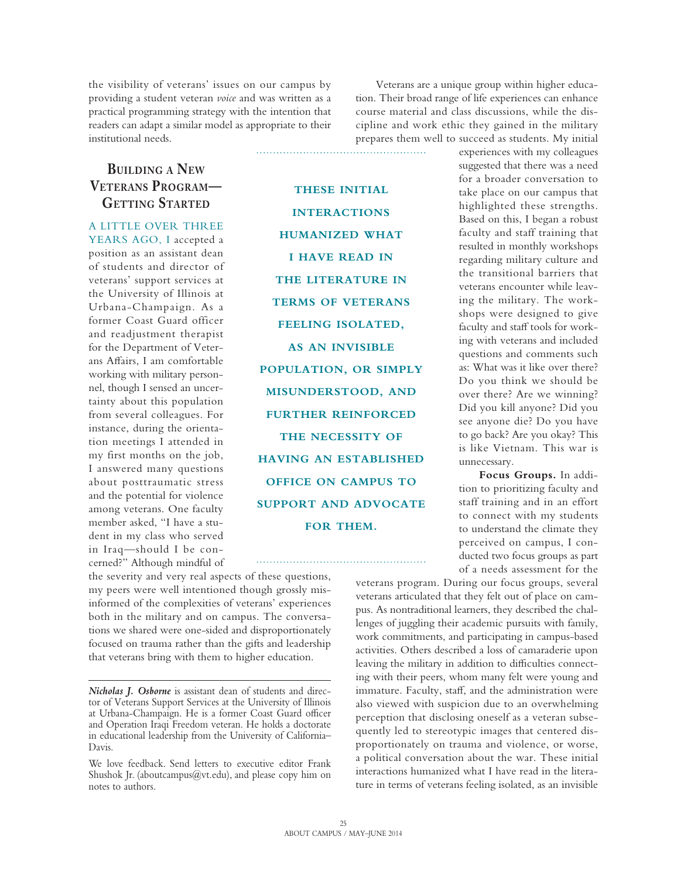the visibility of veterans' issues on our campus by providing a student veteran *voice* and was written as a practical programming strategy with the intention that readers can adapt a similar model as appropriate to their institutional needs.

Veterans are a unique group within higher education. Their broad range of life experiences can enhance course material and class discussions, while the discipline and work ethic they gained in the military prepares them well to succeed as students. My initial

# **BUILDING A NEW VETERANS PROGRAM— GETTING STARTED**

A LITTLE OVER THREE YEARS AGO, I accepted a position as an assistant dean of students and director of veterans' support services at the University of Illinois at Urbana-Champaign. As a former Coast Guard officer and readjustment therapist for the Department of Veterans Affairs, I am comfortable working with military personnel, though I sensed an uncertainty about this population from several colleagues. For instance, during the orientation meetings I attended in my first months on the job, I answered many questions about posttraumatic stress and the potential for violence among veterans. One faculty member asked, "I have a student in my class who served in Iraq—should I be concerned?" Although mindful of

**THESE INITIAL INTERACTIONS HUMANIZED WHAT I HAVE READ IN THE LITERATURE IN TERMS OF VETERANS FEELING ISOLATED, AS AN INVISIBLE POPULATION, OR SIMPLY MISUNDERSTOOD, AND FURTHER REINFORCED THE NECESSITY OF HAVING AN ESTABLISHED OFFICE ON CAMPUS TO SUPPORT AND ADVOCATE FOR THEM.**

the severity and very real aspects of these questions, my peers were well intentioned though grossly misinformed of the complexities of veterans' experiences both in the military and on campus. The conversations we shared were one-sided and disproportionately focused on trauma rather than the gifts and leadership that veterans bring with them to higher education.

experiences with my colleagues suggested that there was a need for a broader conversation to take place on our campus that highlighted these strengths. Based on this, I began a robust faculty and staff training that resulted in monthly workshops regarding military culture and the transitional barriers that veterans encounter while leaving the military. The workshops were designed to give faculty and staff tools for working with veterans and included questions and comments such as: What was it like over there? Do you think we should be over there? Are we winning? Did you kill anyone? Did you see anyone die? Do you have to go back? Are you okay? This is like Vietnam. This war is unnecessary.

**Focus Groups.** In addition to prioritizing faculty and staff training and in an effort to connect with my students to understand the climate they perceived on campus, I conducted two focus groups as part of a needs assessment for the

veterans program. During our focus groups, several veterans articulated that they felt out of place on campus. As nontraditional learners, they described the challenges of juggling their academic pursuits with family, work commitments, and participating in campus-based activities. Others described a loss of camaraderie upon leaving the military in addition to difficulties connecting with their peers, whom many felt were young and immature. Faculty, staff, and the administration were also viewed with suspicion due to an overwhelming perception that disclosing oneself as a veteran subsequently led to stereotypic images that centered disproportionately on trauma and violence, or worse, a political conversation about the war. These initial interactions humanized what I have read in the literature in terms of veterans feeling isolated, as an invisible

*Nicholas J. Osborne* is assistant dean of students and director of Veterans Support Services at the University of Illinois at Urbana-Champaign. He is a former Coast Guard officer and Operation Iraqi Freedom veteran. He holds a doctorate in educational leadership from the University of California– Davis.

We love feedback. Send letters to executive editor Frank Shushok Jr. (aboutcampus@vt.edu), and please copy him on notes to authors.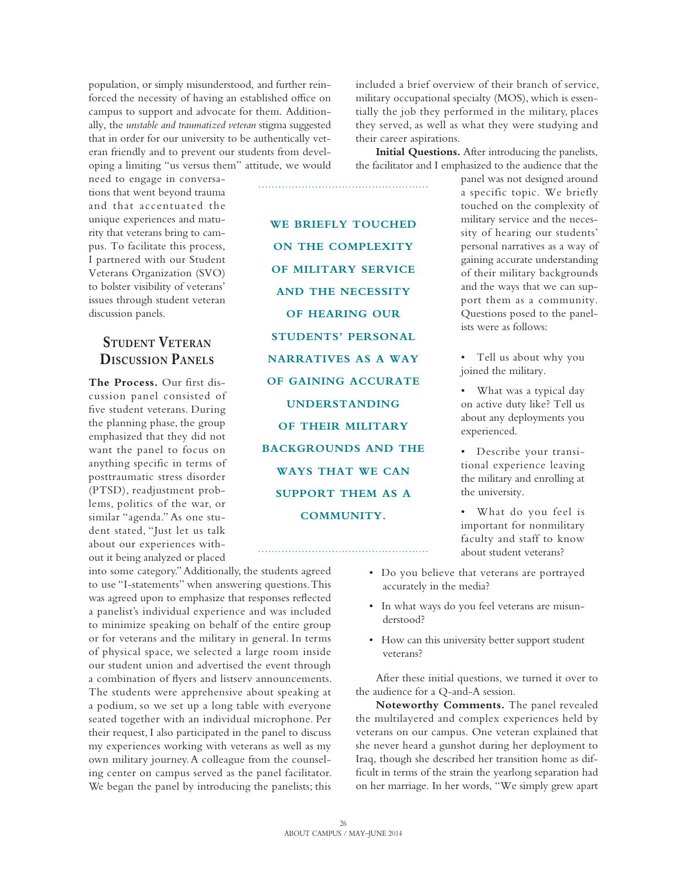population, or simply misunderstood, and further reinforced the necessity of having an established office on campus to support and advocate for them. Additionally, the *unstable and traumatized veteran* stigma suggested that in order for our university to be authentically veteran friendly and to prevent our students from developing a limiting "us versus them" attitude, we would

need to engage in conversations that went beyond trauma and that accentuated the unique experiences and maturity that veterans bring to campus. To facilitate this process, I partnered with our Student Veterans Organization (SVO) to bolster visibility of veterans' issues through student veteran discussion panels.

# **STUDENT VETERAN DISCUSSION PANELS**

**The Process.** Our first discussion panel consisted of five student veterans. During the planning phase, the group emphasized that they did not want the panel to focus on anything specific in terms of posttraumatic stress disorder (PTSD), readjustment problems, politics of the war, or similar "agenda." As one student stated, "Just let us talk about our experiences without it being analyzed or placed

into some category." Additionally, the students agreed to use "I-statements" when answering questions. This was agreed upon to emphasize that responses reflected a panelist's individual experience and was included to minimize speaking on behalf of the entire group or for veterans and the military in general. In terms of physical space, we selected a large room inside our student union and advertised the event through a combination of flyers and listserv announcements. The students were apprehensive about speaking at a podium, so we set up a long table with everyone seated together with an individual microphone. Per their request, I also participated in the panel to discuss my experiences working with veterans as well as my own military journey. A colleague from the counseling center on campus served as the panel facilitator. We began the panel by introducing the panelists; this

included a brief overview of their branch of service, military occupational specialty (MOS), which is essentially the job they performed in the military, places they served, as well as what they were studying and their career aspirations.

**Initial Questions.** After introducing the panelists, the facilitator and I emphasized to the audience that the

> panel was not designed around a specific topic. We briefly touched on the complexity of military service and the necessity of hearing our students' personal narratives as a way of gaining accurate understanding of their military backgrounds and the ways that we can support them as a community. Questions posed to the panelists were as follows:

- Tell us about why you joined the military.
- What was a typical day on active duty like? Tell us about any deployments you experienced.
- Describe your transitional experience leaving the military and enrolling at the university.
- What do you feel is important for nonmilitary faculty and staff to know about student veterans?
- Do you believe that veterans are portrayed accurately in the media?
- In what ways do you feel veterans are misunderstood?
- How can this university better support student veterans?

After these initial questions, we turned it over to the audience for a Q-and-A session.

**Noteworthy Comments.** The panel revealed the multilayered and complex experiences held by veterans on our campus. One veteran explained that she never heard a gunshot during her deployment to Iraq, though she described her transition home as difficult in terms of the strain the yearlong separation had on her marriage. In her words, "We simply grew apart

**WE BRIEFLY TOUCHED** 

**ON THE COMPLEXITY OF MILITARY SERVICE** 

**AND THE NECESSITY** 

**OF HEARING OUR STUDENTS' PERSONAL** 

**NARRATIVES AS A WAY OF GAINING ACCURATE UNDERSTANDING** 

**OF THEIR MILITARY BACKGROUNDS AND THE WAYS THAT WE CAN SUPPORT THEM AS A** 

**COMMUNITY.**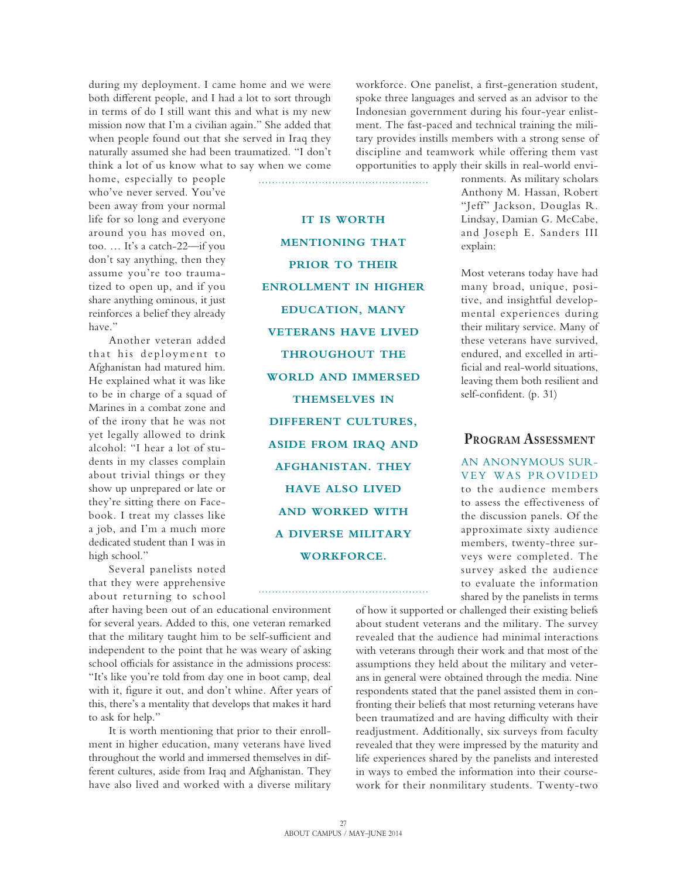during my deployment. I came home and we were both different people, and I had a lot to sort through in terms of do I still want this and what is my new mission now that I'm a civilian again." She added that when people found out that she served in Iraq they naturally assumed she had been traumatized. "I don't think a lot of us know what to say when we come

home, especially to people who've never served. You've been away from your normal life for so long and everyone around you has moved on, too. … It's a catch-22—if you don't say anything, then they assume you're too traumatized to open up, and if you share anything ominous, it just reinforces a belief they already have."

Another veteran added that his deployment to Afghanistan had matured him. He explained what it was like to be in charge of a squad of Marines in a combat zone and of the irony that he was not yet legally allowed to drink alcohol: "I hear a lot of students in my classes complain about trivial things or they show up unprepared or late or they're sitting there on Facebook. I treat my classes like a job, and I'm a much more dedicated student than I was in high school."

Several panelists noted that they were apprehensive about returning to school

**IT IS WORTH MENTIONING THAT PRIOR TO THEIR ENROLLMENT IN HIGHER EDUCATION, MANY VETERANS HAVE LIVED THROUGHOUT THE WORLD AND IMMERSED THEMSELVES IN DIFFERENT CULTURES, ASIDE FROM IRAQ AND AFGHANISTAN. THEY HAVE ALSO LIVED AND WORKED WITH A DIVERSE MILITARY WORKFORCE.**

after having been out of an educational environment for several years. Added to this, one veteran remarked that the military taught him to be self-sufficient and independent to the point that he was weary of asking school officials for assistance in the admissions process: "It's like you're told from day one in boot camp, deal with it, figure it out, and don't whine. After years of this, there's a mentality that develops that makes it hard to ask for help."

It is worth mentioning that prior to their enrollment in higher education, many veterans have lived throughout the world and immersed themselves in different cultures, aside from Iraq and Afghanistan. They have also lived and worked with a diverse military

workforce. One panelist, a first-generation student, spoke three languages and served as an advisor to the Indonesian government during his four-year enlistment. The fast-paced and technical training the military provides instills members with a strong sense of discipline and teamwork while offering them vast opportunities to apply their skills in real-world envi-

> ronments. As military scholars Anthony M. Hassan, Robert "Jeff" Jackson, Douglas R. Lindsay, Damian G. McCabe, and Joseph E. Sanders III explain:

> Most veterans today have had many broad, unique, positive, and insightful developmental experiences during their military service. Many of these veterans have survived, endured, and excelled in artificial and real-world situations. leaving them both resilient and self-confident. (p. 31)

#### **PROGRAM ASSESSMENT**

AN ANONYMOUS SUR-VEY WAS PROVIDED to the audience members to assess the effectiveness of the discussion panels. Of the approximate sixty audience members, twenty-three surveys were completed. The survey asked the audience to evaluate the information shared by the panelists in terms

of how it supported or challenged their existing beliefs about student veterans and the military. The survey revealed that the audience had minimal interactions with veterans through their work and that most of the assumptions they held about the military and veterans in general were obtained through the media. Nine respondents stated that the panel assisted them in confronting their beliefs that most returning veterans have been traumatized and are having difficulty with their readjustment. Additionally, six surveys from faculty revealed that they were impressed by the maturity and life experiences shared by the panelists and interested in ways to embed the information into their coursework for their nonmilitary students. Twenty-two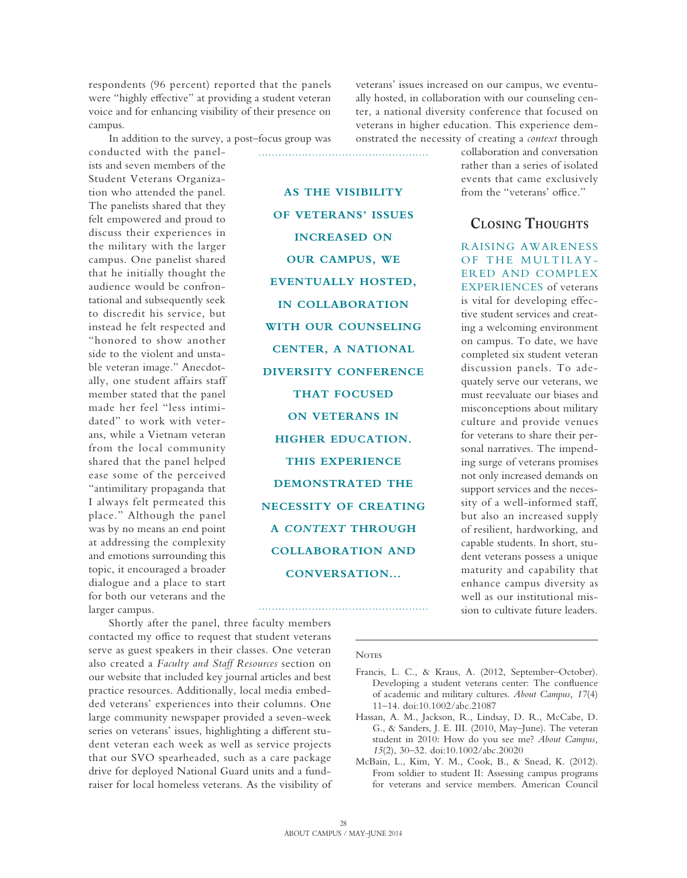respondents (96 percent) reported that the panels were "highly effective" at providing a student veteran voice and for enhancing visibility of their presence on campus.

In addition to the survey, a post–focus group was

conducted with the panelists and seven members of the Student Veterans Organization who attended the panel. The panelists shared that they felt empowered and proud to discuss their experiences in the military with the larger campus. One panelist shared that he initially thought the audience would be confrontational and subsequently seek to discredit his service, but instead he felt respected and "honored to show another side to the violent and unstable veteran image." Anecdotally, one student affairs staff member stated that the panel made her feel "less intimidated" to work with veterans, while a Vietnam veteran from the local community shared that the panel helped ease some of the perceived "antimilitary propaganda that I always felt permeated this place." Although the panel was by no means an end point at addressing the complexity and emotions surrounding this topic, it encouraged a broader dialogue and a place to start for both our veterans and the larger campus.

**AS THE VISIBILITY OF VETERANS' ISSUES INCREASED ON OUR CAMPUS, WE EVENTUALLY HOSTED, IN COLLABORATION WITH OUR COUNSELING CENTER, A NATIONAL DIVERSITY CONFERENCE THAT FOCUSED ON VETERANS IN HIGHER EDUCATION. THIS EXPERIENCE DEMONSTRATED THE NECESSITY OF CREATING A** *CONTEXT* **THROUGH COLLABORATION AND CONVERSATION...**

Shortly after the panel, three faculty members contacted my office to request that student veterans serve as guest speakers in their classes. One veteran also created a *Faculty and Staff Resources* section on our website that included key journal articles and best practice resources. Additionally, local media embedded veterans' experiences into their columns. One large community newspaper provided a seven-week series on veterans' issues, highlighting a different student veteran each week as well as service projects that our SVO spearheaded, such as a care package drive for deployed National Guard units and a fundraiser for local homeless veterans. As the visibility of

veterans' issues increased on our campus, we eventually hosted, in collaboration with our counseling center, a national diversity conference that focused on veterans in higher education. This experience demonstrated the necessity of creating a *context* through

> collaboration and conversation rather than a series of isolated events that came exclusively from the "veterans' office."

### **CLOSING THOUGHTS**

RAISING AWARENESS OF THE MULTILAY-ERED AND COMPLEX EXPERIENCES of veterans is vital for developing effective student services and creating a welcoming environment on campus. To date, we have completed six student veteran discussion panels. To adequately serve our veterans, we must reevaluate our biases and misconceptions about military culture and provide venues for veterans to share their personal narratives. The impending surge of veterans promises not only increased demands on support services and the necessity of a well-informed staff, but also an increased supply of resilient, hardworking, and capable students. In short, student veterans possess a unique maturity and capability that enhance campus diversity as well as our institutional mission to cultivate future leaders.

**NOTES** 

Francis, L. C., & Kraus, A. (2012, September–October). Developing a student veterans center: The confluence of academic and military cultures. *About Campus, 17*(4) 11–14. doi:10.1002/abc.21087

Hassan, A. M., Jackson, R., Lindsay, D. R., McCabe, D. G., & Sanders, J. E. III. (2010, May–June). The veteran student in 2010: How do you see me? *About Campus, 15*(2), 30–32. doi:10.1002/abc.20020

McBain, L., Kim, Y. M., Cook, B., & Snead, K. (2012). From soldier to student II: Assessing campus programs for veterans and service members. American Council